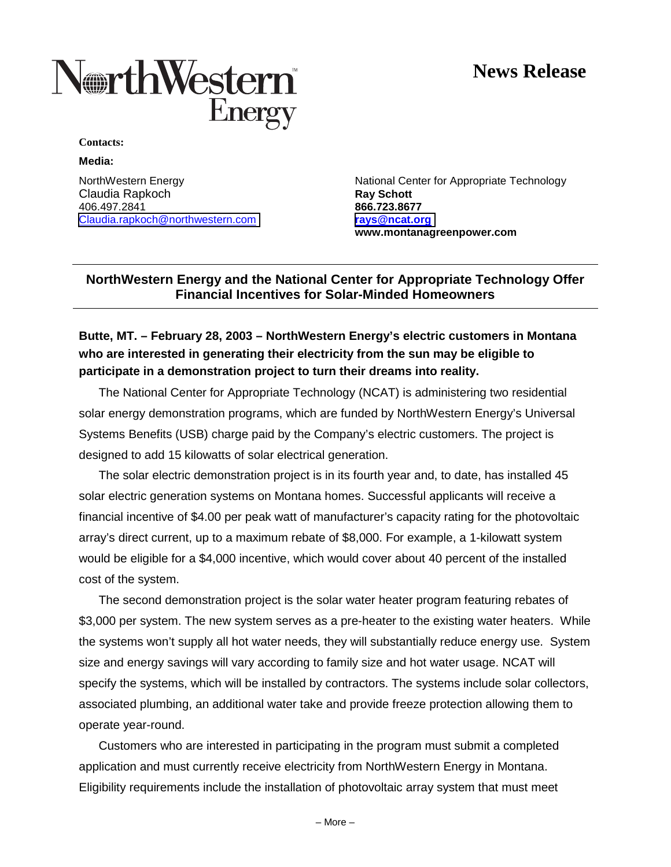# **News Release**



**Contacts:**

**Media:**

**Claudia Rapkoch <b>Ray Schott Ray Schott** 406.497.2841 **866.723.8677** [Claudia.rapkoch@northwestern.com](mailto:Claudia.rapkoch@northwestern.com) **[rays@ncat.org](mailto:rays@ncat.org)**

NorthWestern Energy **National Center for Appropriate Technology** National Center for Appropriate Technology **www.montanagreenpower.com**

### **NorthWestern Energy and the National Center for Appropriate Technology Offer Financial Incentives for Solar-Minded Homeowners**

## **Butte, MT. – February 28, 2003 – NorthWestern Energy's electric customers in Montana who are interested in generating their electricity from the sun may be eligible to participate in a demonstration project to turn their dreams into reality.**

The National Center for Appropriate Technology (NCAT) is administering two residential solar energy demonstration programs, which are funded by NorthWestern Energy's Universal Systems Benefits (USB) charge paid by the Company's electric customers. The project is designed to add 15 kilowatts of solar electrical generation.

The solar electric demonstration project is in its fourth year and, to date, has installed 45 solar electric generation systems on Montana homes. Successful applicants will receive a financial incentive of \$4.00 per peak watt of manufacturer's capacity rating for the photovoltaic array's direct current, up to a maximum rebate of \$8,000. For example, a 1-kilowatt system would be eligible for a \$4,000 incentive, which would cover about 40 percent of the installed cost of the system.

The second demonstration project is the solar water heater program featuring rebates of \$3,000 per system. The new system serves as a pre-heater to the existing water heaters. While the systems won't supply all hot water needs, they will substantially reduce energy use. System size and energy savings will vary according to family size and hot water usage. NCAT will specify the systems, which will be installed by contractors. The systems include solar collectors, associated plumbing, an additional water take and provide freeze protection allowing them to operate year-round.

Customers who are interested in participating in the program must submit a completed application and must currently receive electricity from NorthWestern Energy in Montana. Eligibility requirements include the installation of photovoltaic array system that must meet